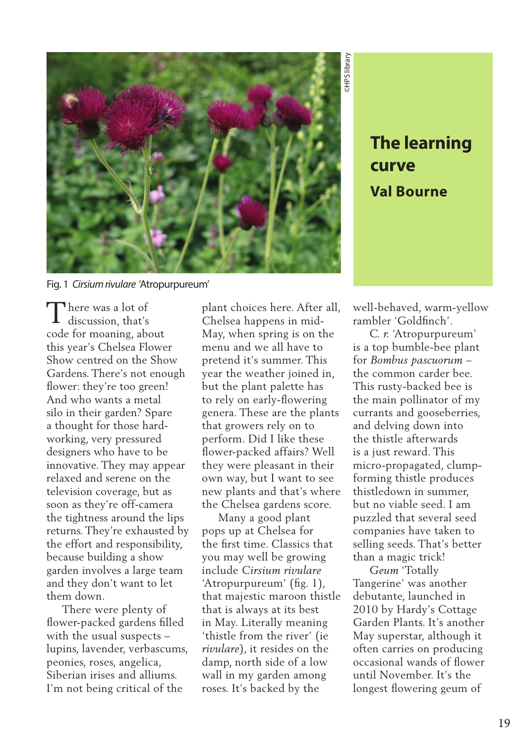

## **curve Val Bourne**

Fig. 1 *Cirsium rivulare* 'Atropurpureum'

here was a lot of There was a lot of<br>discussion, that's code for moaning, about this year's Chelsea Flower Show centred on the Show Gardens. There's not enough flower: they're too green! And who wants a metal silo in their garden? Spare a thought for those hardworking, very pressured designers who have to be innovative. They may appear relaxed and serene on the television coverage, but as soon as they're off-camera the tightness around the lips returns. They're exhausted by the effort and responsibility, because building a show garden involves a large team and they don't want to let them down.

 There were plenty of flower-packed gardens filled with the usual suspects – lupins, lavender, verbascums, peonies, roses, angelica, Siberian irises and alliums. I'm not being critical of the

plant choices here. After all, Chelsea happens in mid-May, when spring is on the menu and we all have to pretend it's summer. This year the weather joined in, but the plant palette has to rely on early-flowering genera. These are the plants that growers rely on to perform. Did I like these flower-packed affairs? Well they were pleasant in their own way, but I want to see new plants and that's where the Chelsea gardens score.

 Many a good plant pops up at Chelsea for the first time. Classics that you may well be growing include *Cirsium rivulare* 'Atropurpureum' (fig. 1), that majestic maroon thistle that is always at its best in May. Literally meaning 'thistle from the river' (ie *rivulare*), it resides on the damp, north side of a low wall in my garden among roses. It's backed by the

well-behaved, warm-yellow rambler 'Goldfinch'.

**The learning**<br> **Curve**<br> **Val Bourne**<br> **Val Bourne**<br> **Val Bourne**<br> **C.** *r.* 'Atropurpureum'<br>
top bumble-bee plant<br> *Bombus pascuorum* –<br>
common carder bee.<br>
Is main pollinator of my<br>
ranis and gooseberries,<br>
delving down *C. r.* 'Atropurpureum' is a top bumble-bee plant for *Bombus pascuorum* – the common carder bee. This rusty-backed bee is the main pollinator of my currants and gooseberries, and delving down into the thistle afterwards is a just reward. This micro-propagated, clumpforming thistle produces thistledown in summer, but no viable seed. I am puzzled that several seed companies have taken to selling seeds. That's better than a magic trick!

 *Geum* 'Totally Tangerine' was another debutante, launched in 2010 by Hardy's Cottage Garden Plants. It's another May superstar, although it often carries on producing occasional wands of flower until November. It's the longest flowering geum of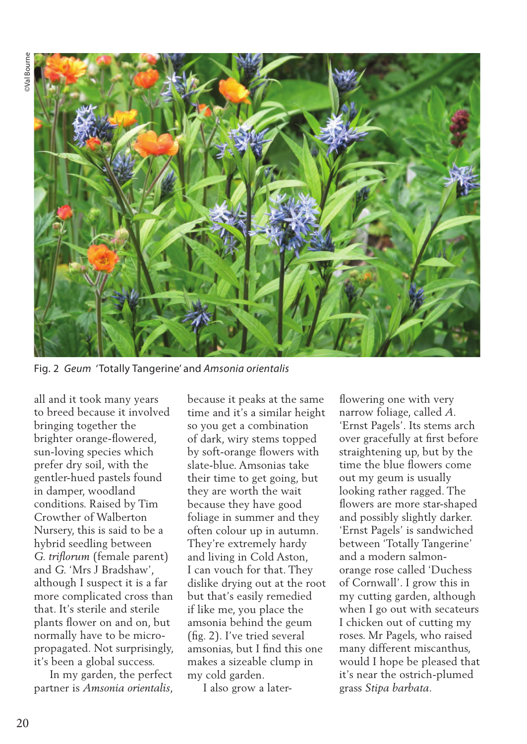

Fig. 2 *Geum* 'Totally Tangerine' and *Amsonia orientalis* 

all and it took many years to breed because it involved bringing together the brighter orange-flowered, sun-loving species which prefer dry soil, with the gentler-hued pastels found in damper, woodland conditions. Raised by Tim Crowther of Walberton Nursery, this is said to be a hybrid seedling between *G. triflorum* (female parent) and *G.* 'Mrs J Bradshaw', although I suspect it is a far more complicated cross than that. It's sterile and sterile plants flower on and on, but normally have to be micropropagated. Not surprisingly, it's been a global success.

 In my garden, the perfect partner is *Amsonia orientalis*, because it peaks at the same time and it's a similar height so you get a combination of dark, wiry stems topped by soft-orange flowers with slate-blue. Amsonias take their time to get going, but they are worth the wait because they have good foliage in summer and they often colour up in autumn. They're extremely hardy and living in Cold Aston, I can vouch for that. They dislike drying out at the root but that's easily remedied if like me, you place the amsonia behind the geum (fig. 2). I've tried several amsonias, but I find this one makes a sizeable clump in my cold garden.

I also grow a later-

flowering one with very narrow foliage, called *A.*  'Ernst Pagels'. Its stems arch over gracefully at first before straightening up, but by the time the blue flowers come out my geum is usually looking rather ragged. The flowers are more star-shaped and possibly slightly darker. 'Ernst Pagels' is sandwiched between 'Totally Tangerine' and a modern salmonorange rose called 'Duchess of Cornwall'. I grow this in my cutting garden, although when I go out with secateurs I chicken out of cutting my roses. Mr Pagels, who raised many different miscanthus, would I hope be pleased that it's near the ostrich-plumed grass *Stipa barbata*.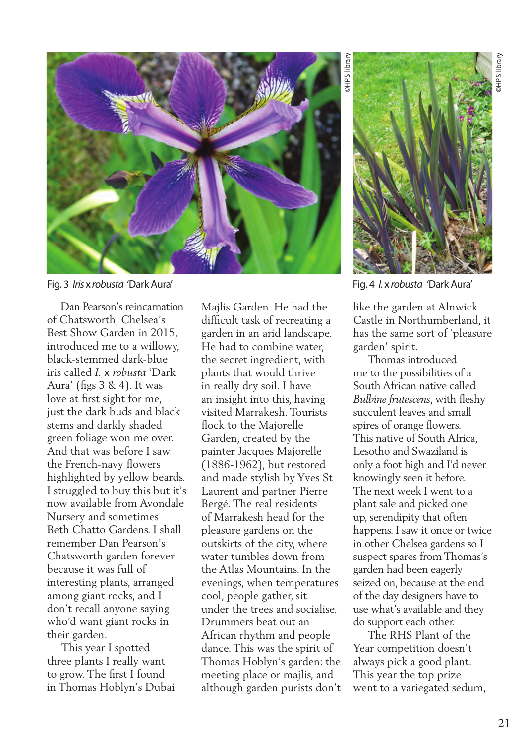

Fig. 3 *Iris* x *robusta* 'Dark Aura' Fig. 4 *I.* x *robusta* 'Dark Aura'

 Dan Pearson's reincarnation of Chatsworth, Chelsea's Best Show Garden in 2015, introduced me to a willowy, black-stemmed dark-blue iris called *I.* x *robusta* 'Dark Aura' (figs 3 & 4). It was love at first sight for me, just the dark buds and black stems and darkly shaded green foliage won me over. And that was before I saw the French-navy flowers highlighted by yellow beards. I struggled to buy this but it's now available from Avondale Nursery and sometimes Beth Chatto Gardens. I shall remember Dan Pearson's Chatsworth garden forever because it was full of interesting plants, arranged among giant rocks, and I don't recall anyone saying who'd want giant rocks in their garden.

 This year I spotted three plants I really want to grow. The first I found in Thomas Hoblyn's Dubai

Majlis Garden. He had the difficult task of recreating a garden in an arid landscape. He had to combine water, the secret ingredient, with plants that would thrive in really dry soil. I have an insight into this, having visited Marrakesh. Tourists flock to the Majorelle Garden, created by the painter Jacques Majorelle (1886-1962), but restored and made stylish by Yves St Laurent and partner Pierre Bergé. The real residents of Marrakesh head for the pleasure gardens on the outskirts of the city, where water tumbles down from the Atlas Mountains. In the evenings, when temperatures cool, people gather, sit under the trees and socialise. Drummers beat out an African rhythm and people dance. This was the spirit of Thomas Hoblyn's garden: the meeting place or majlis, and although garden purists don't

©HPS library

**HPS** librar

like the garden at Alnwick Castle in Northumberland, it has the same sort of 'pleasure garden' spirit.

 Thomas introduced me to the possibilities of a South African native called *Bulbine frutescens*, with fleshy succulent leaves and small spires of orange flowers. This native of South Africa, Lesotho and Swaziland is only a foot high and I'd never knowingly seen it before. The next week I went to a plant sale and picked one up, serendipity that often happens. I saw it once or twice in other Chelsea gardens so I suspect spares from Thomas's garden had been eagerly seized on, because at the end of the day designers have to use what's available and they do support each other.

 The RHS Plant of the Year competition doesn't always pick a good plant. This year the top prize went to a variegated sedum,